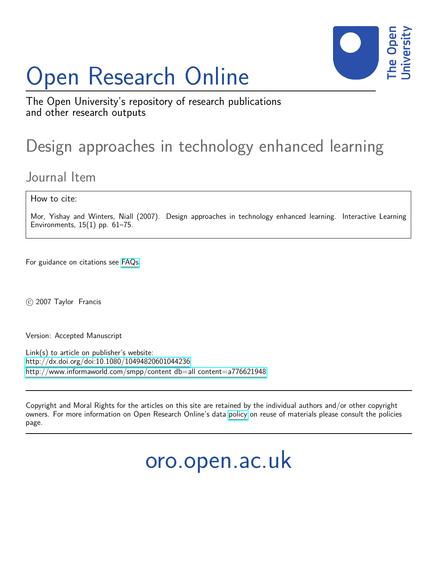# Open Research Online



The Open University's repository of research publications and other research outputs

## Design approaches in technology enhanced learning

## Journal Item

#### How to cite:

Mor, Yishay and Winters, Niall (2007). Design approaches in technology enhanced learning. Interactive Learning Environments, 15(1) pp. 61–75.

For guidance on citations see [FAQs.](http://oro.open.ac.uk/help/helpfaq.html)

c 2007 Taylor Francis

Version: Accepted Manuscript

Link(s) to article on publisher's website: <http://dx.doi.org/doi:10.1080/10494820601044236> [http://www.informaworld.com/smpp/content db=all content=a776621948](http://www.informaworld.com/smpp/content~db=all~content=a776621948)

Copyright and Moral Rights for the articles on this site are retained by the individual authors and/or other copyright owners. For more information on Open Research Online's data [policy](http://oro.open.ac.uk/policies.html) on reuse of materials please consult the policies page.

oro.open.ac.uk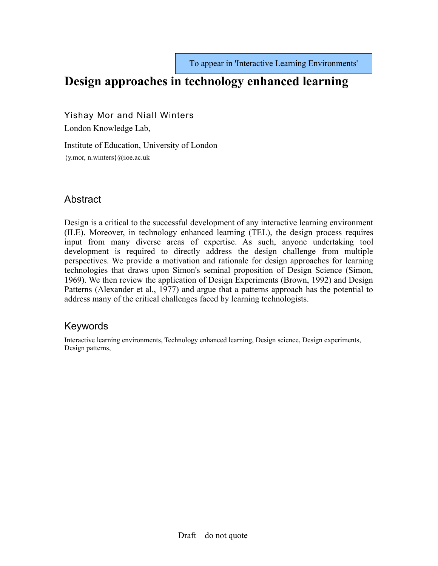To appear in 'Interactive Learning Environments'

### **Design approaches in technology enhanced learning**

Yishay Mor and Niall Winters

London Knowledge Lab,

Institute of Education, University of London

{y.mor, n.winters}@ioe.ac.uk

#### Abstract

Design is a critical to the successful development of any interactive learning environment (ILE). Moreover, in technology enhanced learning (TEL), the design process requires input from many diverse areas of expertise. As such, anyone undertaking tool development is required to directly address the design challenge from multiple perspectives. We provide a motivation and rationale for design approaches for learning technologies that draws upon Simon's seminal proposition of Design Science (Simon, 1969). We then review the application of Design Experiments (Brown, 1992) and Design Patterns (Alexander et al., 1977) and argue that a patterns approach has the potential to address many of the critical challenges faced by learning technologists.

#### Keywords

Interactive learning environments, Technology enhanced learning, Design science, Design experiments, Design patterns,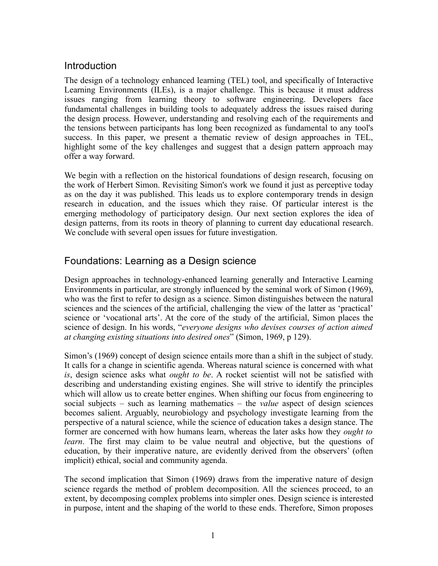#### **Introduction**

The design of a technology enhanced learning (TEL) tool, and specifically of Interactive Learning Environments (ILEs), is a major challenge. This is because it must address issues ranging from learning theory to software engineering. Developers face fundamental challenges in building tools to adequately address the issues raised during the design process. However, understanding and resolving each of the requirements and the tensions between participants has long been recognized as fundamental to any tool's success. In this paper, we present a thematic review of design approaches in TEL, highlight some of the key challenges and suggest that a design pattern approach may offer a way forward.

We begin with a reflection on the historical foundations of design research, focusing on the work of Herbert Simon. Revisiting Simon's work we found it just as perceptive today as on the day it was published. This leads us to explore contemporary trends in design research in education, and the issues which they raise. Of particular interest is the emerging methodology of participatory design. Our next section explores the idea of design patterns, from its roots in theory of planning to current day educational research. We conclude with several open issues for future investigation.

#### Foundations: Learning as a Design science

Design approaches in technology-enhanced learning generally and Interactive Learning Environments in particular, are strongly influenced by the seminal work of Simon (1969), who was the first to refer to design as a science. Simon distinguishes between the natural sciences and the sciences of the artificial, challenging the view of the latter as 'practical' science or 'vocational arts'. At the core of the study of the artificial, Simon places the science of design. In his words, "*everyone designs who devises courses of action aimed at changing existing situations into desired ones*" (Simon, 1969, p 129).

Simon's (1969) concept of design science entails more than a shift in the subject of study. It calls for a change in scientific agenda. Whereas natural science is concerned with what *is*, design science asks what *ought to be*. A rocket scientist will not be satisfied with describing and understanding existing engines. She will strive to identify the principles which will allow us to create better engines. When shifting our focus from engineering to social subjects – such as learning mathematics – the *value* aspect of design sciences becomes salient. Arguably, neurobiology and psychology investigate learning from the perspective of a natural science, while the science of education takes a design stance. The former are concerned with how humans learn, whereas the later asks how they *ought to learn*. The first may claim to be value neutral and objective, but the questions of education, by their imperative nature, are evidently derived from the observers' (often implicit) ethical, social and community agenda.

The second implication that Simon (1969) draws from the imperative nature of design science regards the method of problem decomposition. All the sciences proceed, to an extent, by decomposing complex problems into simpler ones. Design science is interested in purpose, intent and the shaping of the world to these ends. Therefore, Simon proposes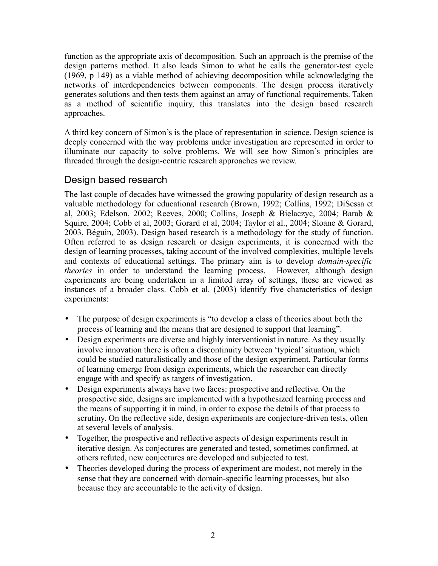function as the appropriate axis of decomposition. Such an approach is the premise of the design patterns method. It also leads Simon to what he calls the generator-test cycle (1969, p 149) as a viable method of achieving decomposition while acknowledging the networks of interdependencies between components. The design process iteratively generates solutions and then tests them against an array of functional requirements. Taken as a method of scientific inquiry, this translates into the design based research approaches.

A third key concern of Simon's is the place of representation in science. Design science is deeply concerned with the way problems under investigation are represented in order to illuminate our capacity to solve problems. We will see how Simon's principles are threaded through the design-centric research approaches we review.

#### Design based research

The last couple of decades have witnessed the growing popularity of design research as a valuable methodology for educational research (Brown, 1992; Collins, 1992; DiSessa et al, 2003; Edelson, 2002; Reeves, 2000; Collins, Joseph & Bielaczyc, 2004; Barab & Squire, 2004; Cobb et al, 2003; Gorard et al, 2004; Taylor et al., 2004; Sloane & Gorard, 2003, Béguin, 2003). Design based research is a methodology for the study of function. Often referred to as design research or design experiments, it is concerned with the design of learning processes, taking account of the involved complexities, multiple levels and contexts of educational settings. The primary aim is to develop *domain-specific theories* in order to understand the learning process. However, although design experiments are being undertaken in a limited array of settings, these are viewed as instances of a broader class. Cobb et al. (2003) identify five characteristics of design experiments:

- The purpose of design experiments is "to develop a class of theories about both the process of learning and the means that are designed to support that learning".
- Design experiments are diverse and highly interventionist in nature. As they usually involve innovation there is often a discontinuity between 'typical' situation, which could be studied naturalistically and those of the design experiment. Particular forms of learning emerge from design experiments, which the researcher can directly engage with and specify as targets of investigation.
- Design experiments always have two faces: prospective and reflective. On the prospective side, designs are implemented with a hypothesized learning process and the means of supporting it in mind, in order to expose the details of that process to scrutiny. On the reflective side, design experiments are conjecture-driven tests, often at several levels of analysis.
- Together, the prospective and reflective aspects of design experiments result in iterative design. As conjectures are generated and tested, sometimes confirmed, at others refuted, new conjectures are developed and subjected to test.
- Theories developed during the process of experiment are modest, not merely in the sense that they are concerned with domain-specific learning processes, but also because they are accountable to the activity of design.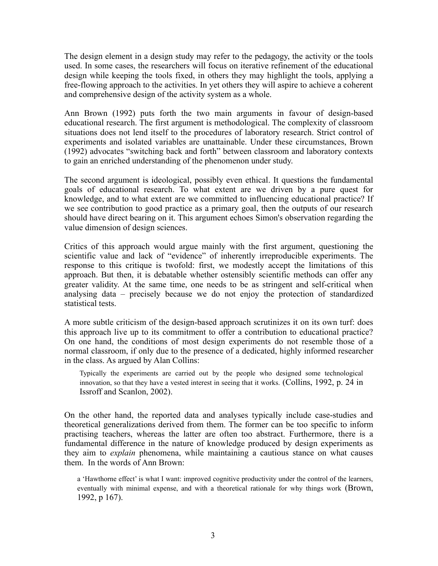The design element in a design study may refer to the pedagogy, the activity or the tools used. In some cases, the researchers will focus on iterative refinement of the educational design while keeping the tools fixed, in others they may highlight the tools, applying a free-flowing approach to the activities. In yet others they will aspire to achieve a coherent and comprehensive design of the activity system as a whole.

Ann Brown (1992) puts forth the two main arguments in favour of design-based educational research. The first argument is methodological. The complexity of classroom situations does not lend itself to the procedures of laboratory research. Strict control of experiments and isolated variables are unattainable. Under these circumstances, Brown (1992) advocates "switching back and forth" between classroom and laboratory contexts to gain an enriched understanding of the phenomenon under study.

The second argument is ideological, possibly even ethical. It questions the fundamental goals of educational research. To what extent are we driven by a pure quest for knowledge, and to what extent are we committed to influencing educational practice? If we see contribution to good practice as a primary goal, then the outputs of our research should have direct bearing on it. This argument echoes Simon's observation regarding the value dimension of design sciences.

Critics of this approach would argue mainly with the first argument, questioning the scientific value and lack of "evidence" of inherently irreproducible experiments. The response to this critique is twofold: first, we modestly accept the limitations of this approach. But then, it is debatable whether ostensibly scientific methods can offer any greater validity. At the same time, one needs to be as stringent and self-critical when analysing data – precisely because we do not enjoy the protection of standardized statistical tests.

A more subtle criticism of the design-based approach scrutinizes it on its own turf: does this approach live up to its commitment to offer a contribution to educational practice? On one hand, the conditions of most design experiments do not resemble those of a normal classroom, if only due to the presence of a dedicated, highly informed researcher in the class. As argued by Alan Collins:

Typically the experiments are carried out by the people who designed some technological innovation, so that they have a vested interest in seeing that it works. (Collins, 1992, p. 24 in Issroff and Scanlon, 2002).

On the other hand, the reported data and analyses typically include case-studies and theoretical generalizations derived from them. The former can be too specific to inform practising teachers, whereas the latter are often too abstract. Furthermore, there is a fundamental difference in the nature of knowledge produced by design experiments as they aim to *explain* phenomena, while maintaining a cautious stance on what causes them. In the words of Ann Brown:

a 'Hawthorne effect' is what I want: improved cognitive productivity under the control of the learners, eventually with minimal expense, and with a theoretical rationale for why things work (Brown, 1992, p 167).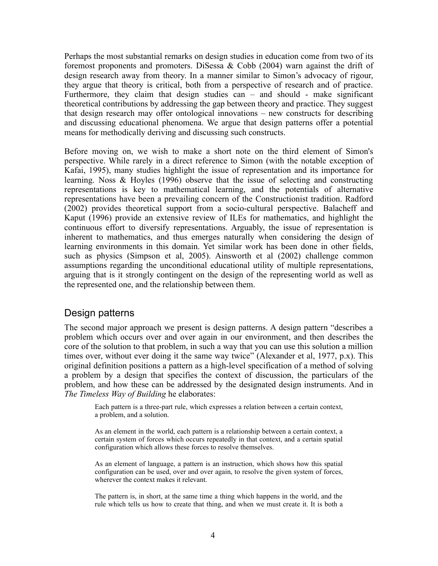Perhaps the most substantial remarks on design studies in education come from two of its foremost proponents and promoters. DiSessa & Cobb (2004) warn against the drift of design research away from theory. In a manner similar to Simon's advocacy of rigour, they argue that theory is critical, both from a perspective of research and of practice. Furthermore, they claim that design studies can  $-$  and should  $-$  make significant theoretical contributions by addressing the gap between theory and practice. They suggest that design research may offer ontological innovations – new constructs for describing and discussing educational phenomena. We argue that design patterns offer a potential means for methodically deriving and discussing such constructs.

Before moving on, we wish to make a short note on the third element of Simon's perspective. While rarely in a direct reference to Simon (with the notable exception of Kafai, 1995), many studies highlight the issue of representation and its importance for learning. Noss & Hoyles (1996) observe that the issue of selecting and constructing representations is key to mathematical learning, and the potentials of alternative representations have been a prevailing concern of the Constructionist tradition. Radford (2002) provides theoretical support from a socio-cultural perspective. Balacheff and Kaput (1996) provide an extensive review of ILEs for mathematics, and highlight the continuous effort to diversify representations. Arguably, the issue of representation is inherent to mathematics, and thus emerges naturally when considering the design of learning environments in this domain. Yet similar work has been done in other fields, such as physics (Simpson et al, 2005). Ainsworth et al (2002) challenge common assumptions regarding the unconditional educational utility of multiple representations, arguing that is it strongly contingent on the design of the representing world as well as the represented one, and the relationship between them.

#### Design patterns

The second major approach we present is design patterns. A design pattern "describes a problem which occurs over and over again in our environment, and then describes the core of the solution to that problem, in such a way that you can use this solution a million times over, without ever doing it the same way twice" (Alexander et al, 1977, p.x). This original definition positions a pattern as a high-level specification of a method of solving a problem by a design that specifies the context of discussion, the particulars of the problem, and how these can be addressed by the designated design instruments. And in *The Timeless Way of Building* he elaborates:

Each pattern is a three-part rule, which expresses a relation between a certain context, a problem, and a solution.

As an element in the world, each pattern is a relationship between a certain context, a certain system of forces which occurs repeatedly in that context, and a certain spatial configuration which allows these forces to resolve themselves.

As an element of language, a pattern is an instruction, which shows how this spatial configuration can be used, over and over again, to resolve the given system of forces, wherever the context makes it relevant.

The pattern is, in short, at the same time a thing which happens in the world, and the rule which tells us how to create that thing, and when we must create it. It is both a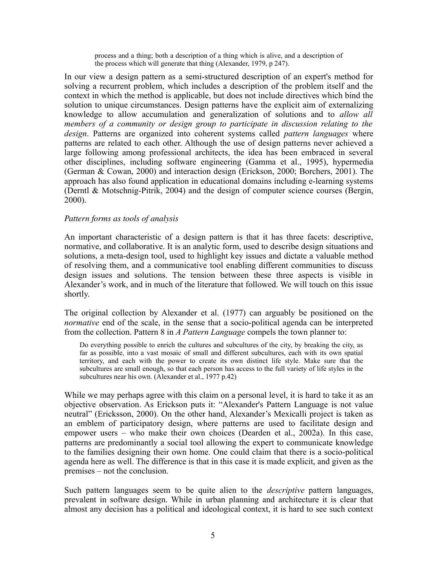process and a thing; both a description of a thing which is alive, and a description of the process which will generate that thing (Alexander, 1979, p 247).

In our view a design pattern as a semi-structured description of an expert's method for solving a recurrent problem, which includes a description of the problem itself and the context in which the method is applicable, but does not include directives which bind the solution to unique circumstances. Design patterns have the explicit aim of externalizing knowledge to allow accumulation and generalization of solutions and to *allow all members of a community or design group to participate in discussion relating to the design*. Patterns are organized into coherent systems called *pattern languages* where patterns are related to each other. Although the use of design patterns never achieved a large following among professional architects, the idea has been embraced in several other disciplines, including software engineering (Gamma et al., 1995), hypermedia (German & Cowan, 2000) and interaction design (Erickson, 2000; Borchers, 2001). The approach has also found application in educational domains including e-learning systems (Derntl & Motschnig-Pitrik, 2004) and the design of computer science courses (Bergin, 2000).

#### *Pattern forms as tools of analysis*

An important characteristic of a design pattern is that it has three facets: descriptive, normative, and collaborative. It is an analytic form, used to describe design situations and solutions, a meta-design tool, used to highlight key issues and dictate a valuable method of resolving them, and a communicative tool enabling different communities to discuss design issues and solutions. The tension between these three aspects is visible in Alexander's work, and in much of the literature that followed. We will touch on this issue shortly.

The original collection by Alexander et al. (1977) can arguably be positioned on the *normative* end of the scale, in the sense that a socio-political agenda can be interpreted from the collection. Pattern 8 in *A Pattern Language* compels the town planner to:

Do everything possible to enrich the cultures and subcultures of the city, by breaking the city, as far as possible, into a vast mosaic of small and different subcultures, each with its own spatial territory, and each with the power to create its own distinct life style. Make sure that the subcultures are small enough, so that each person has access to the full variety of life styles in the subcultures near his own. (Alexander et al., 1977 p.42)

While we may perhaps agree with this claim on a personal level, it is hard to take it as an objective observation. As Erickson puts it: "Alexander's Pattern Language is not value neutral" (Ericksson, 2000). On the other hand, Alexander's Mexicalli project is taken as an emblem of participatory design, where patterns are used to facilitate design and empower users – who make their own choices (Dearden et al., 2002a). In this case, patterns are predominantly a social tool allowing the expert to communicate knowledge to the families designing their own home. One could claim that there is a socio-political agenda here as well. The difference is that in this case it is made explicit, and given as the premises – not the conclusion.

Such pattern languages seem to be quite alien to the *descriptive* pattern languages, prevalent in software design. While in urban planning and architecture it is clear that almost any decision has a political and ideological context, it is hard to see such context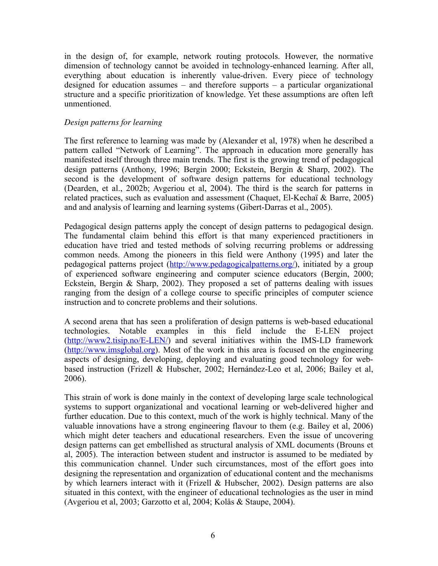in the design of, for example, network routing protocols. However, the normative dimension of technology cannot be avoided in technology-enhanced learning. After all, everything about education is inherently value-driven. Every piece of technology designed for education assumes – and therefore supports – a particular organizational structure and a specific prioritization of knowledge. Yet these assumptions are often left unmentioned.

#### *Design patterns for learning*

The first reference to learning was made by (Alexander et al, 1978) when he described a pattern called "Network of Learning". The approach in education more generally has manifested itself through three main trends. The first is the growing trend of pedagogical design patterns (Anthony, 1996; Bergin 2000; Eckstein, Bergin & Sharp, 2002). The second is the development of software design patterns for educational technology (Dearden, et al., 2002b; Avgeriou et al, 2004). The third is the search for patterns in related practices, such as evaluation and assessment (Chaquet, El-Kechaï & Barre, 2005) and and analysis of learning and learning systems (Gibert-Darras et al., 2005).

Pedagogical design patterns apply the concept of design patterns to pedagogical design. The fundamental claim behind this effort is that many experienced practitioners in education have tried and tested methods of solving recurring problems or addressing common needs. Among the pioneers in this field were Anthony (1995) and later the pedagogical patterns project (<http://www.pedagogicalpatterns.org/>), initiated by a group of experienced software engineering and computer science educators (Bergin, 2000; Eckstein, Bergin & Sharp, 2002). They proposed a set of patterns dealing with issues ranging from the design of a college course to specific principles of computer science instruction and to concrete problems and their solutions.

A second arena that has seen a proliferation of design patterns is web-based educational technologies. Notable examples in this field include the E-LEN project ([http://www2.tisip.no/E-LEN/\)](http://www2.tisip.no/E-LEN/) and several initiatives within the IMS-LD framework ([http://www.imsglobal.org](http://www.imsglobal.org/)). Most of the work in this area is focused on the engineering aspects of designing, developing, deploying and evaluating good technology for webbased instruction (Frizell & Hubscher, 2002; Hernández-Leo et al, 2006; Bailey et al, 2006).

This strain of work is done mainly in the context of developing large scale technological systems to support organizational and vocational learning or web-delivered higher and further education. Due to this context, much of the work is highly technical. Many of the valuable innovations have a strong engineering flavour to them (e.g. Bailey et al, 2006) which might deter teachers and educational researchers. Even the issue of uncovering design patterns can get embellished as structural analysis of XML documents (Brouns et al, 2005). The interaction between student and instructor is assumed to be mediated by this communication channel. Under such circumstances, most of the effort goes into designing the representation and organization of educational content and the mechanisms by which learners interact with it (Frizell & Hubscher, 2002). Design patterns are also situated in this context, with the engineer of educational technologies as the user in mind (Avgeriou et al, 2003; Garzotto et al, 2004; Kolås & Staupe, 2004).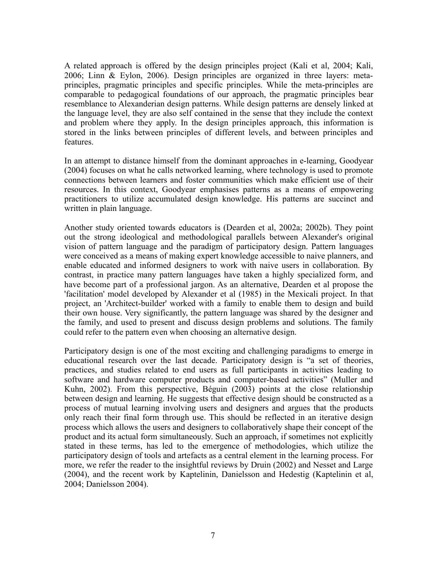A related approach is offered by the design principles project (Kali et al, 2004; Kali, 2006; Linn & Eylon, 2006). Design principles are organized in three layers: metaprinciples, pragmatic principles and specific principles. While the meta-principles are comparable to pedagogical foundations of our approach, the pragmatic principles bear resemblance to Alexanderian design patterns. While design patterns are densely linked at the language level, they are also self contained in the sense that they include the context and problem where they apply. In the design principles approach, this information is stored in the links between principles of different levels, and between principles and features.

In an attempt to distance himself from the dominant approaches in e-learning, Goodyear (2004) focuses on what he calls networked learning, where technology is used to promote connections between learners and foster communities which make efficient use of their resources. In this context, Goodyear emphasises patterns as a means of empowering practitioners to utilize accumulated design knowledge. His patterns are succinct and written in plain language.

Another study oriented towards educators is (Dearden et al, 2002a; 2002b). They point out the strong ideological and methodological parallels between Alexander's original vision of pattern language and the paradigm of participatory design. Pattern languages were conceived as a means of making expert knowledge accessible to naive planners, and enable educated and informed designers to work with naive users in collaboration. By contrast, in practice many pattern languages have taken a highly specialized form, and have become part of a professional jargon. As an alternative, Dearden et al propose the 'facilitation' model developed by Alexander et al (1985) in the Mexicali project. In that project, an 'Architect-builder' worked with a family to enable them to design and build their own house. Very significantly, the pattern language was shared by the designer and the family, and used to present and discuss design problems and solutions. The family could refer to the pattern even when choosing an alternative design.

Participatory design is one of the most exciting and challenging paradigms to emerge in educational research over the last decade. Participatory design is "a set of theories, practices, and studies related to end users as full participants in activities leading to software and hardware computer products and computer-based activities" (Muller and Kuhn, 2002). From this perspective, Béguin (2003) points at the close relationship between design and learning. He suggests that effective design should be constructed as a process of mutual learning involving users and designers and argues that the products only reach their final form through use. This should be reflected in an iterative design process which allows the users and designers to collaboratively shape their concept of the product and its actual form simultaneously. Such an approach, if sometimes not explicitly stated in these terms, has led to the emergence of methodologies, which utilize the participatory design of tools and artefacts as a central element in the learning process. For more, we refer the reader to the insightful reviews by Druin (2002) and Nesset and Large (2004), and the recent work by Kaptelinin, Danielsson and Hedestig (Kaptelinin et al, 2004; Danielsson 2004).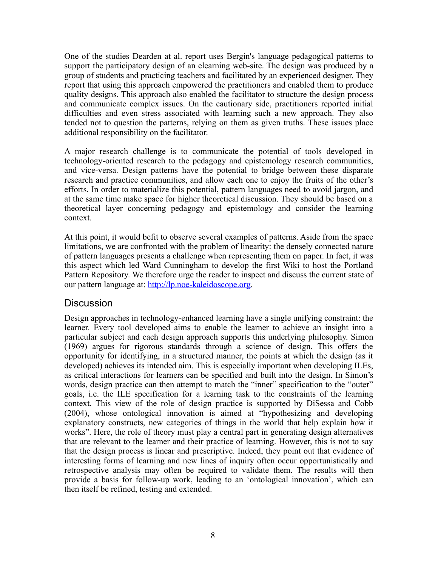One of the studies Dearden at al. report uses Bergin's language pedagogical patterns to support the participatory design of an elearning web-site. The design was produced by a group of students and practicing teachers and facilitated by an experienced designer. They report that using this approach empowered the practitioners and enabled them to produce quality designs. This approach also enabled the facilitator to structure the design process and communicate complex issues. On the cautionary side, practitioners reported initial difficulties and even stress associated with learning such a new approach. They also tended not to question the patterns, relying on them as given truths. These issues place additional responsibility on the facilitator.

A major research challenge is to communicate the potential of tools developed in technology-oriented research to the pedagogy and epistemology research communities, and vice-versa. Design patterns have the potential to bridge between these disparate research and practice communities, and allow each one to enjoy the fruits of the other's efforts. In order to materialize this potential, pattern languages need to avoid jargon, and at the same time make space for higher theoretical discussion. They should be based on a theoretical layer concerning pedagogy and epistemology and consider the learning context.

At this point, it would befit to observe several examples of patterns. Aside from the space limitations, we are confronted with the problem of linearity: the densely connected nature of pattern languages presents a challenge when representing them on paper. In fact, it was this aspect which led Ward Cunningham to develop the first Wiki to host the Portland Pattern Repository. We therefore urge the reader to inspect and discuss the current state of our pattern language at: [http://lp.noe-kaleidoscope.org](http://lp.noe-kaleidoscope.org/).

#### **Discussion**

Design approaches in technology-enhanced learning have a single unifying constraint: the learner. Every tool developed aims to enable the learner to achieve an insight into a particular subject and each design approach supports this underlying philosophy. Simon (1969) argues for rigorous standards through a science of design. This offers the opportunity for identifying, in a structured manner, the points at which the design (as it developed) achieves its intended aim. This is especially important when developing ILEs, as critical interactions for learners can be specified and built into the design. In Simon's words, design practice can then attempt to match the "inner" specification to the "outer" goals, i.e. the ILE specification for a learning task to the constraints of the learning context. This view of the role of design practice is supported by DiSessa and Cobb (2004), whose ontological innovation is aimed at "hypothesizing and developing explanatory constructs, new categories of things in the world that help explain how it works". Here, the role of theory must play a central part in generating design alternatives that are relevant to the learner and their practice of learning. However, this is not to say that the design process is linear and prescriptive. Indeed, they point out that evidence of interesting forms of learning and new lines of inquiry often occur opportunistically and retrospective analysis may often be required to validate them. The results will then provide a basis for follow-up work, leading to an 'ontological innovation', which can then itself be refined, testing and extended.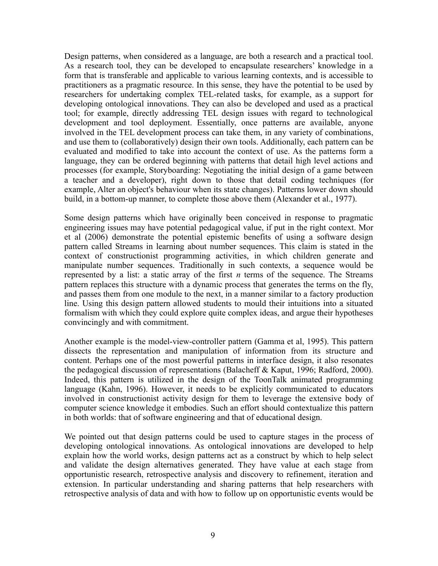Design patterns, when considered as a language, are both a research and a practical tool. As a research tool, they can be developed to encapsulate researchers' knowledge in a form that is transferable and applicable to various learning contexts, and is accessible to practitioners as a pragmatic resource. In this sense, they have the potential to be used by researchers for undertaking complex TEL-related tasks, for example, as a support for developing ontological innovations. They can also be developed and used as a practical tool; for example, directly addressing TEL design issues with regard to technological development and tool deployment. Essentially, once patterns are available, anyone involved in the TEL development process can take them, in any variety of combinations, and use them to (collaboratively) design their own tools. Additionally, each pattern can be evaluated and modified to take into account the context of use. As the patterns form a language, they can be ordered beginning with patterns that detail high level actions and processes (for example, Storyboarding: Negotiating the initial design of a game between a teacher and a developer), right down to those that detail coding techniques (for example, Alter an object's behaviour when its state changes). Patterns lower down should build, in a bottom-up manner, to complete those above them (Alexander et al., 1977).

Some design patterns which have originally been conceived in response to pragmatic engineering issues may have potential pedagogical value, if put in the right context. Mor et al (2006) demonstrate the potential epistemic benefits of using a software design pattern called Streams in learning about number sequences. This claim is stated in the context of constructionist programming activities, in which children generate and manipulate number sequences. Traditionally in such contexts, a sequence would be represented by a list: a static array of the first *n* terms of the sequence. The Streams pattern replaces this structure with a dynamic process that generates the terms on the fly, and passes them from one module to the next, in a manner similar to a factory production line. Using this design pattern allowed students to mould their intuitions into a situated formalism with which they could explore quite complex ideas, and argue their hypotheses convincingly and with commitment.

Another example is the model-view-controller pattern (Gamma et al, 1995). This pattern dissects the representation and manipulation of information from its structure and content. Perhaps one of the most powerful patterns in interface design, it also resonates the pedagogical discussion of representations (Balacheff & Kaput, 1996; Radford, 2000). Indeed, this pattern is utilized in the design of the ToonTalk animated programming language (Kahn, 1996). However, it needs to be explicitly communicated to educators involved in constructionist activity design for them to leverage the extensive body of computer science knowledge it embodies. Such an effort should contextualize this pattern in both worlds: that of software engineering and that of educational design.

We pointed out that design patterns could be used to capture stages in the process of developing ontological innovations. As ontological innovations are developed to help explain how the world works, design patterns act as a construct by which to help select and validate the design alternatives generated. They have value at each stage from opportunistic research, retrospective analysis and discovery to refinement, iteration and extension. In particular understanding and sharing patterns that help researchers with retrospective analysis of data and with how to follow up on opportunistic events would be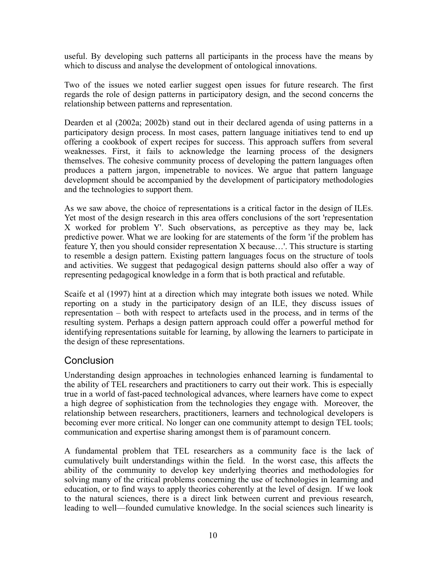useful. By developing such patterns all participants in the process have the means by which to discuss and analyse the development of ontological innovations.

Two of the issues we noted earlier suggest open issues for future research. The first regards the role of design patterns in participatory design, and the second concerns the relationship between patterns and representation.

Dearden et al (2002a; 2002b) stand out in their declared agenda of using patterns in a participatory design process. In most cases, pattern language initiatives tend to end up offering a cookbook of expert recipes for success. This approach suffers from several weaknesses. First, it fails to acknowledge the learning process of the designers themselves. The cohesive community process of developing the pattern languages often produces a pattern jargon, impenetrable to novices. We argue that pattern language development should be accompanied by the development of participatory methodologies and the technologies to support them.

As we saw above, the choice of representations is a critical factor in the design of ILEs. Yet most of the design research in this area offers conclusions of the sort 'representation X worked for problem Y'. Such observations, as perceptive as they may be, lack predictive power. What we are looking for are statements of the form 'if the problem has feature Y, then you should consider representation X because…'. This structure is starting to resemble a design pattern. Existing pattern languages focus on the structure of tools and activities. We suggest that pedagogical design patterns should also offer a way of representing pedagogical knowledge in a form that is both practical and refutable.

Scaife et al (1997) hint at a direction which may integrate both issues we noted. While reporting on a study in the participatory design of an ILE, they discuss issues of representation – both with respect to artefacts used in the process, and in terms of the resulting system. Perhaps a design pattern approach could offer a powerful method for identifying representations suitable for learning, by allowing the learners to participate in the design of these representations.

#### **Conclusion**

Understanding design approaches in technologies enhanced learning is fundamental to the ability of TEL researchers and practitioners to carry out their work. This is especially true in a world of fast-paced technological advances, where learners have come to expect a high degree of sophistication from the technologies they engage with. Moreover, the relationship between researchers, practitioners, learners and technological developers is becoming ever more critical. No longer can one community attempt to design TEL tools; communication and expertise sharing amongst them is of paramount concern.

A fundamental problem that TEL researchers as a community face is the lack of cumulatively built understandings within the field. In the worst case, this affects the ability of the community to develop key underlying theories and methodologies for solving many of the critical problems concerning the use of technologies in learning and education, or to find ways to apply theories coherently at the level of design. If we look to the natural sciences, there is a direct link between current and previous research, leading to well—founded cumulative knowledge. In the social sciences such linearity is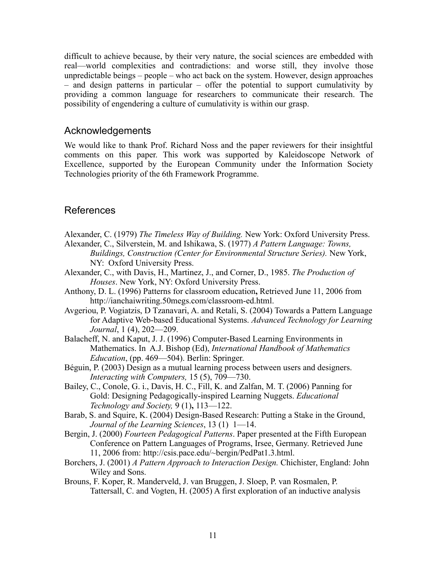difficult to achieve because, by their very nature, the social sciences are embedded with real—world complexities and contradictions: and worse still, they involve those unpredictable beings – people – who act back on the system. However, design approaches – and design patterns in particular – offer the potential to support cumulativity by providing a common language for researchers to communicate their research. The possibility of engendering a culture of cumulativity is within our grasp.

#### Acknowledgements

We would like to thank Prof. Richard Noss and the paper reviewers for their insightful comments on this paper. This work was supported by Kaleidoscope Network of Excellence, supported by the European Community under the Information Society Technologies priority of the 6th Framework Programme.

#### References

- Alexander, C. (1979) *The Timeless Way of Building.* New York: Oxford University Press.
- Alexander, C., Silverstein, M. and Ishikawa, S. (1977) *A Pattern Language: Towns, Buildings, Construction (Center for Environmental Structure Series).* New York, NY: Oxford University Press.
- Alexander, C., with Davis, H., Martinez, J., and Corner, D., 1985. *The Production of Houses*. New York, NY: Oxford University Press.
- Anthony, D. L. (1996) Patterns for classroom education**,** Retrieved June 11, 2006 from http://ianchaiwriting.50megs.com/classroom-ed.html.
- Avgeriou, P. Vogiatzis, D Tzanavari, A. and Retali, S. (2004) Towards a Pattern Language for Adaptive Web-based Educational Systems. *Advanced Technology for Learning Journal*, 1 (4), 202—209.
- Balacheff, N. and Kaput, J. J. (1996) Computer-Based Learning Environments in Mathematics. In A.J. Bishop (Ed), *International Handbook of Mathematics Education*, (pp. 469—504). Berlin: Springer.
- Béguin, P. (2003) Design as a mutual learning process between users and designers. *Interacting with Computers,* 15 (5), 709—730.
- Bailey, C., Conole, G. i., Davis, H. C., Fill, K. and Zalfan, M. T. (2006) Panning for Gold: Designing Pedagogically-inspired Learning Nuggets. *Educational Technology and Society,* 9 (1)**,** 113—122.
- Barab, S. and Squire, K. (2004) Design-Based Research: Putting a Stake in the Ground, *Journal of the Learning Sciences*, 13 (1) 1—14.
- Bergin, J. (2000) *Fourteen Pedagogical Patterns*. Paper presented at the Fifth European Conference on Pattern Languages of Programs, Irsee, Germany. Retrieved June 11, 2006 from: http://csis.pace.edu/~bergin/PedPat1.3.html.
- Borchers, J. (2001) *A Pattern Approach to Interaction Design.* Chichister, England: John Wiley and Sons.
- Brouns, F. Koper, R. Manderveld, J. van Bruggen, J. Sloep, P. van Rosmalen, P. Tattersall, C. and Vogten, H. (2005) A first exploration of an inductive analysis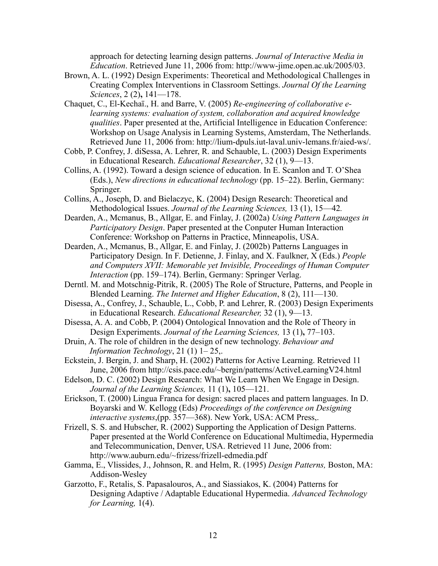approach for detecting learning design patterns. *Journal of Interactive Media in Education*. Retrieved June 11, 2006 from: http://www-jime.open.ac.uk/2005/03.

- Brown, A. L. (1992) Design Experiments: Theoretical and Methodological Challenges in Creating Complex Interventions in Classroom Settings. *Journal Of the Learning Sciences*, 2 (2)**,** 141—178.
- Chaquet, C., El-Kechaï., H. and Barre, V. (2005) *Re-engineering of collaborative elearning systems: evaluation of system, collaboration and acquired knowledge qualities*. Paper presented at the, Artificial Intelligence in Education Conference: Workshop on Usage Analysis in Learning Systems, Amsterdam, The Netherlands. Retrieved June 11, 2006 from: http://lium-dpuls.iut-laval.univ-lemans.fr/aied-ws/.
- Cobb, P. Confrey, J. diSessa, A. Lehrer, R. and Schauble, L. (2003) Design Experiments in Educational Research. *Educational Researcher*, 32 (1), 9—13.
- Collins, A. (1992). Toward a design science of education. In E. Scanlon and T. O'Shea (Eds.), *New directions in educational technology* (pp. 15–22). Berlin, Germany: Springer.
- Collins, A., Joseph, D. and Bielaczyc, K. (2004) Design Research: Theoretical and Methodological Issues. *Journal of the Learning Sciences,* 13 (1), 15—42*.*
- Dearden, A., Mcmanus, B., Allgar, E. and Finlay, J. (2002a) *Using Pattern Languages in Participatory Design*. Paper presented at the Conputer Human Interaction Conference: Workshop on Patterns in Practice, Minneapolis, USA.
- Dearden, A., Mcmanus, B., Allgar, E. and Finlay, J. (2002b) Patterns Languages in Participatory Design. In F. Detienne, J. Finlay, and X. Faulkner, X (Eds.) *People and Computers XVII: Memorable yet Invisible, Proceedings of Human Computer Interaction* (pp. 159–174). Berlin, Germany: Springer Verlag.
- Derntl. M. and Motschnig-Pitrik, R. (2005) The Role of Structure, Patterns, and People in Blended Learning. *The Internet and Higher Education*, 8 (2), 111—130.
- Disessa, A., Confrey, J., Schauble, L., Cobb, P. and Lehrer, R. (2003) Design Experiments in Educational Research. *Educational Researcher,* 32 (1), 9—13.
- Disessa, A. A. and Cobb, P. (2004) Ontological Innovation and the Role of Theory in Design Experiments. *Journal of the Learning Sciences,* 13 (1)**,** 77–103.
- Druin, A. The role of children in the design of new technology. *Behaviour and Information Technology*, 21 (1) 1– 25,.
- Eckstein, J. Bergin, J. and Sharp, H. (2002) Patterns for Active Learning. Retrieved 11 June, 2006 from http://csis.pace.edu/~bergin/patterns/ActiveLearningV24.html
- Edelson, D. C. (2002) Design Research: What We Learn When We Engage in Design. *Journal of the Learning Sciences,* 11 (1)**,** 105—121.
- Erickson, T. (2000) Lingua Franca for design: sacred places and pattern languages. In D. Boyarski and W. Kellogg (Eds) *Proceedings of the conference on Designing interactive systems*,(pp. 357—368). New York, USA: ACM Press,.
- Frizell, S. S. and Hubscher, R. (2002) Supporting the Application of Design Patterns. Paper presented at the World Conference on Educational Multimedia, Hypermedia and Telecommunication, Denver, USA. Retrieved 11 June, 2006 from: http://www.auburn.edu/~frizess/frizell-edmedia.pdf
- Gamma, E., Vlissides, J., Johnson, R. and Helm, R. (1995) *Design Patterns,* Boston, MA: Addison-Wesley
- Garzotto, F., Retalis, S. Papasalouros, A., and Siassiakos, K. (2004) Patterns for Designing Adaptive / Adaptable Educational Hypermedia. *Advanced Technology for Learning,* 1(4).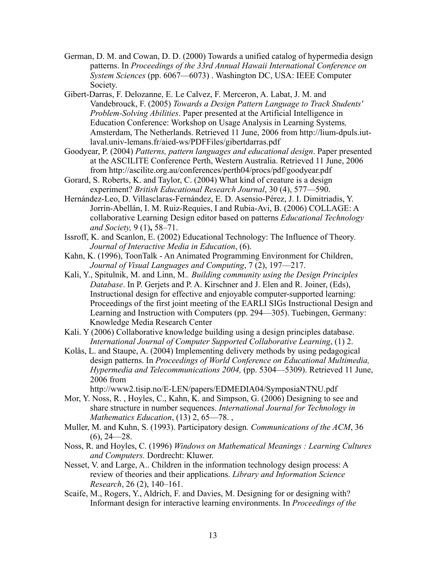- German, D. M. and Cowan, D. D. (2000) Towards a unified catalog of hypermedia design patterns. In *Proceedings of the 33rd Annual Hawaii International Conference on System Sciences* (pp. 6067—6073) . Washington DC, USA: IEEE Computer Society.
- Gibert-Darras, F. Delozanne, E. Le Calvez, F. Merceron, A. Labat, J. M. and Vandebrouck, F. (2005) *Towards a Design Pattern Language to Track Students' Problem-Solving Abilities*. Paper presented at the Artificial Intelligence in Education Conference: Workshop on Usage Analysis in Learning Systems*,* Amsterdam, The Netherlands. Retrieved 11 June, 2006 from http://lium-dpuls.iutlaval.univ-lemans.fr/aied-ws/PDFFiles/gibertdarras.pdf
- Goodyear, P. (2004) *Patterns, pattern languages and educational design*. Paper presented at the ASCILITE Conference Perth, Western Australia. Retrieved 11 June, 2006 from http://ascilite.org.au/conferences/perth04/procs/pdf/goodyear.pdf
- Gorard, S. Roberts, K. and Taylor, C. (2004) What kind of creature is a design experiment? *British Educational Research Journal*, 30 (4), 577—590.
- Hernández-Leo, D. Villasclaras-Fernández, E. D. Asensio-Pérez, J. I. Dimitriadis, Y. Jorrín-Abellán, I. M. Ruiz-Requies, I and Rubia-Avi, B. (2006) COLLAGE: A collaborative Learning Design editor based on patterns *Educational Technology and Society,* 9 (1)**,** 58–71.
- Issroff, K. and Scanlon, E. (2002) Educational Technology: The Influence of Theory*. Journal of Interactive Media in Education*, (6).
- Kahn, K. (1996), ToonTalk An Animated Programming Environment for Children, *Journal of Visual Languages and Computing*, 7 (2), 197—217.
- Kali, Y., Spitulnik, M. and Linn, M.*. Building community using the Design Principles Database*. In P. Gerjets and P. A. Kirschner and J. Elen and R. Joiner, (Eds), Instructional design for effective and enjoyable computer-supported learning: Proceedings of the first joint meeting of the EARLI SIGs Instructional Design and Learning and Instruction with Computers (pp. 294—305). Tuebingen, Germany: Knowledge Media Research Center
- Kali. Y (2006) Collaborative knowledge building using a design principles database. *International Journal of Computer Supported Collaborative Learning*, (1) 2.
- Kolås, L. and Staupe, A. (2004) Implementing delivery methods by using pedagogical design patterns. In *Proceedings of World Conference on Educational Multimedia, Hypermedia and Telecommunications 2004,* (pp. 5304—5309). Retrieved 11 June, 2006 from
	- http://www2.tisip.no/E-LEN/papers/EDMEDIA04/SymposiaNTNU.pdf
- Mor, Y. Noss, R. , Hoyles, C., Kahn, K. and Simpson, G. (2006) Designing to see and share structure in number sequences. *International Journal for Technology in Mathematics Education*, (13) 2, 65—78. ,
- Muller, M. and Kuhn, S. (1993). Participatory design*. Communications of the ACM*, 36  $(6)$ , 24—28.
- Noss, R. and Hoyles, C. (1996) *Windows on Mathematical Meanings : Learning Cultures and Computers.* Dordrecht: Kluwer.
- Nesset, V. and Large, A.. Children in the information technology design process: A review of theories and their applications. *Library and Information Science Research*, 26 (2), 140–161.
- Scaife, M., Rogers, Y., Aldrich, F. and Davies, M. Designing for or designing with? Informant design for interactive learning environments. In *Proceedings of the*